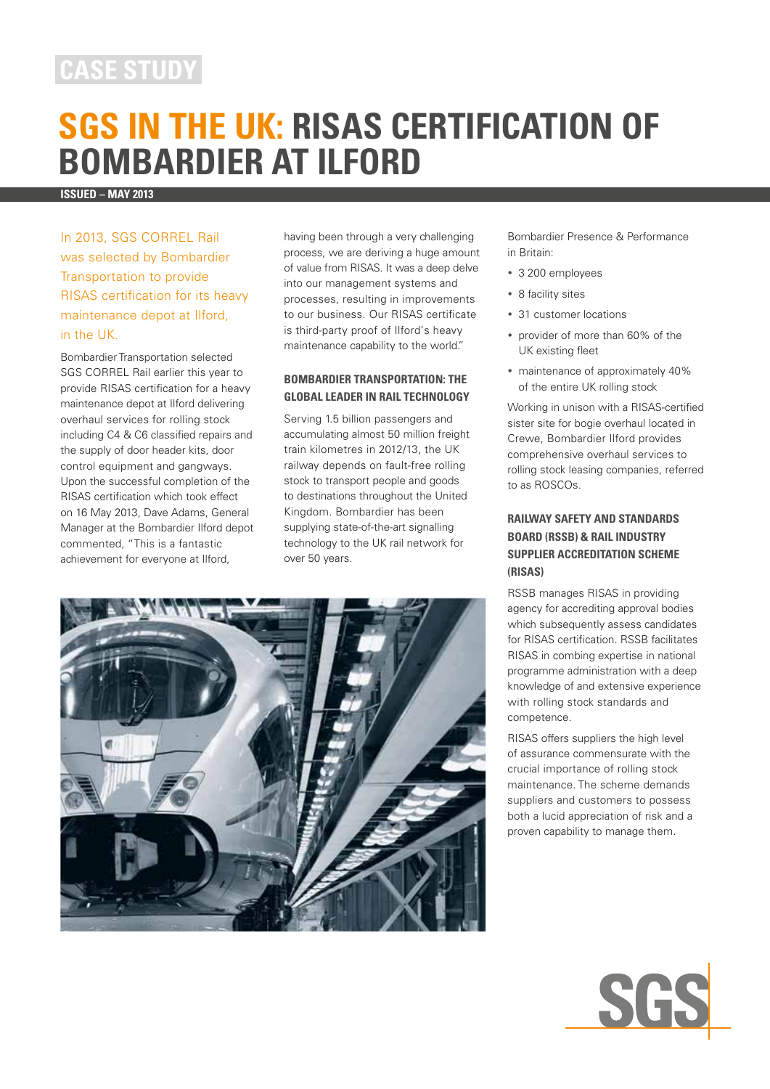# **case study**

# **SGS in the UK: RISAS Certification of Bombardier at Ilford**

**Issued – may 2013**

In 2013, SGS CORREL Rail was selected by Bombardier Transportation to provide RISAS certification for its heavy maintenance depot at Ilford, in the UK.

Bombardier Transportation selected SGS CORREL Rail earlier this year to provide RISAS certification for a heavy maintenance depot at Ilford delivering overhaul services for rolling stock including C4 & C6 classified repairs and the supply of door header kits, door control equipment and gangways. Upon the successful completion of the RISAS certification which took effect on 16 May 2013, Dave Adams, General Manager at the Bombardier Ilford depot commented, "This is a fantastic achievement for everyone at Ilford,

having been through a very challenging process, we are deriving a huge amount of value from RISAS. It was a deep delve into our management systems and processes, resulting in improvements to our business. Our RISAS certificate is third-party proof of Ilford's heavy maintenance capability to the world."

### **Bombardier Transportation: The Global Leader in Rail Technology**

Serving 1.5 billion passengers and accumulating almost 50 million freight train kilometres in 2012/13, the UK railway depends on fault-free rolling stock to transport people and goods to destinations throughout the United Kingdom. Bombardier has been supplying state-of-the-art signalling technology to the UK rail network for over 50 years.



Bombardier Presence & Performance in Britain:

- 3 200 employees
- 8 facility sites
- 31 customer locations
- provider of more than 60% of the UK existing fleet
- maintenance of approximately 40% of the entire UK rolling stock

Working in unison with a RISAS-certified sister site for bogie overhaul located in Crewe, Bombardier Ilford provides comprehensive overhaul services to rolling stock leasing companies, referred to as ROSCOs.

## **Railway Safety and Standards Board (RSSB) & Rail Industry Supplier Accreditation Scheme (RISAS)**

RSSB manages RISAS in providing agency for accrediting approval bodies which subsequently assess candidates for RISAS certification. RSSB facilitates RISAS in combing expertise in national programme administration with a deep knowledge of and extensive experience with rolling stock standards and competence.

RISAS offers suppliers the high level of assurance commensurate with the crucial importance of rolling stock maintenance. The scheme demands suppliers and customers to possess both a lucid appreciation of risk and a proven capability to manage them.